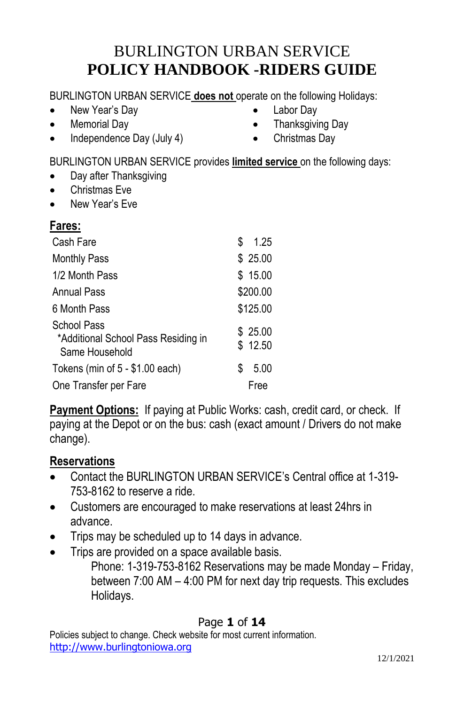# BURLINGTON URBAN SERVICE **POLICY HANDBOOK -RIDERS GUIDE**

BURLINGTON URBAN SERVICE **does not** operate on the following Holidays:

- New Year's Day
- Memorial Day
- Independence Day (July 4)
- Labor Day
- Thanksgiving Day
- Christmas Day

BURLINGTON URBAN SERVICE provides **limited service** on the following days:

- Day after Thanksgiving
- Christmas Eve
- New Year's Eve

## **Fares:**

| Cash Fare                                                            | S | 1.25               |
|----------------------------------------------------------------------|---|--------------------|
| <b>Monthly Pass</b>                                                  |   | \$25.00            |
| 1/2 Month Pass                                                       |   | \$15.00            |
| Annual Pass                                                          |   | \$200.00           |
| 6 Month Pass                                                         |   | \$125.00           |
| School Pass<br>*Additional School Pass Residing in<br>Same Household |   | \$25.00<br>\$12.50 |
| Tokens (min of $5 - $1.00$ each)                                     | S | 5.00               |
| One Transfer per Fare                                                |   | Free               |

**Payment Options:** If paying at Public Works: cash, credit card, or check. If paying at the Depot or on the bus: cash (exact amount / Drivers do not make change).

#### **Reservations**

- Contact the BURLINGTON URBAN SERVICE's Central office at 1-319- 753-8162 to reserve a ride.
- Customers are encouraged to make reservations at least 24hrs in advance.
- Trips may be scheduled up to 14 days in advance.
- Trips are provided on a space available basis.

Phone: 1-319-753-8162 Reservations may be made Monday – Friday, between 7:00 AM – 4:00 PM for next day trip requests. This excludes Holidays.

#### Page **1** of **14**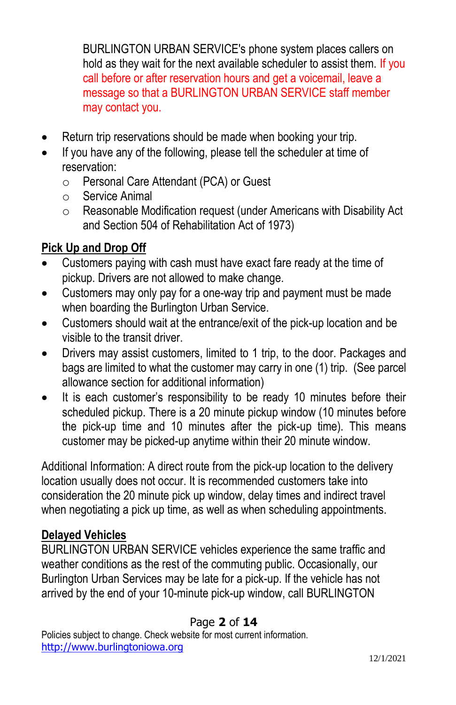BURLINGTON URBAN SERVICE's phone system places callers on hold as they wait for the next available scheduler to assist them. If you call before or after reservation hours and get a voicemail, leave a message so that a BURLINGTON URBAN SERVICE staff member may contact you.

- Return trip reservations should be made when booking your trip.
- If you have any of the following, please tell the scheduler at time of reservation:
	- o Personal Care Attendant (PCA) or Guest
	- o Service Animal
	- o Reasonable Modification request (under Americans with Disability Act and Section 504 of Rehabilitation Act of 1973)

# **Pick Up and Drop Off**

- Customers paying with cash must have exact fare ready at the time of pickup. Drivers are not allowed to make change.
- Customers may only pay for a one-way trip and payment must be made when boarding the Burlington Urban Service.
- Customers should wait at the entrance/exit of the pick-up location and be visible to the transit driver.
- Drivers may assist customers, limited to 1 trip, to the door. Packages and bags are limited to what the customer may carry in one (1) trip. (See parcel allowance section for additional information)
- It is each customer's responsibility to be ready 10 minutes before their scheduled pickup. There is a 20 minute pickup window (10 minutes before the pick-up time and 10 minutes after the pick-up time). This means customer may be picked-up anytime within their 20 minute window.

Additional Information: A direct route from the pick-up location to the delivery location usually does not occur. It is recommended customers take into consideration the 20 minute pick up window, delay times and indirect travel when negotiating a pick up time, as well as when scheduling appointments.

## **Delayed Vehicles**

BURLINGTON URBAN SERVICE vehicles experience the same traffic and weather conditions as the rest of the commuting public. Occasionally, our Burlington Urban Services may be late for a pick-up. If the vehicle has not arrived by the end of your 10-minute pick-up window, call BURLINGTON

## Page **2** of **14**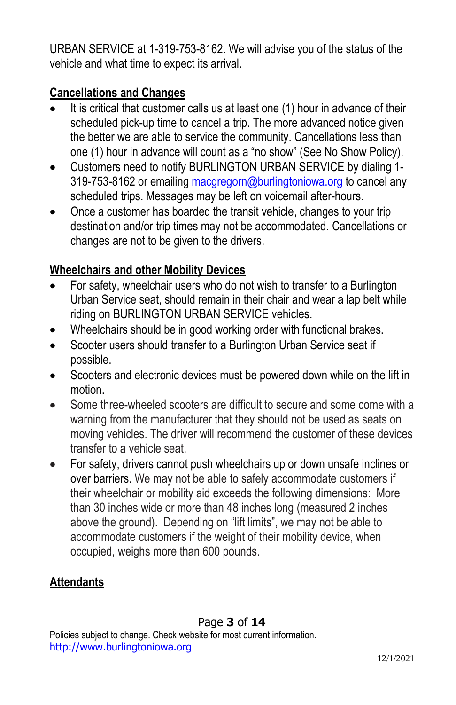URBAN SERVICE at 1-319-753-8162. We will advise you of the status of the vehicle and what time to expect its arrival.

## **Cancellations and Changes**

- It is critical that customer calls us at least one (1) hour in advance of their scheduled pick-up time to cancel a trip. The more advanced notice given the better we are able to service the community. Cancellations less than one (1) hour in advance will count as a "no show" (See No Show Policy).
- Customers need to notify BURLINGTON URBAN SERVICE by dialing 1 319-753-8162 or emailin[g macgregorn@burlingtoniowa.org](mailto:macgregorn@burlingtoniowa.org) to cancel any scheduled trips. Messages may be left on voicemail after-hours.
- Once a customer has boarded the transit vehicle, changes to your trip destination and/or trip times may not be accommodated. Cancellations or changes are not to be given to the drivers.

## **Wheelchairs and other Mobility Devices**

- For safety, wheelchair users who do not wish to transfer to a Burlington Urban Service seat, should remain in their chair and wear a lap belt while riding on BURLINGTON URBAN SERVICE vehicles.
- Wheelchairs should be in good working order with functional brakes.
- Scooter users should transfer to a Burlington Urban Service seat if possible.
- Scooters and electronic devices must be powered down while on the lift in motion.
- Some three-wheeled scooters are difficult to secure and some come with a warning from the manufacturer that they should not be used as seats on moving vehicles. The driver will recommend the customer of these devices transfer to a vehicle seat.
- For safety, drivers cannot push wheelchairs up or down unsafe inclines or over barriers. We may not be able to safely accommodate customers if their wheelchair or mobility aid exceeds the following dimensions: More than 30 inches wide or more than 48 inches long (measured 2 inches above the ground). Depending on "lift limits", we may not be able to accommodate customers if the weight of their mobility device, when occupied, weighs more than 600 pounds.

## **Attendants**

Policies subject to change. Check website for most current information. [http://www.burlingtoniowa.org](http://www.burlingtoniowa.org/)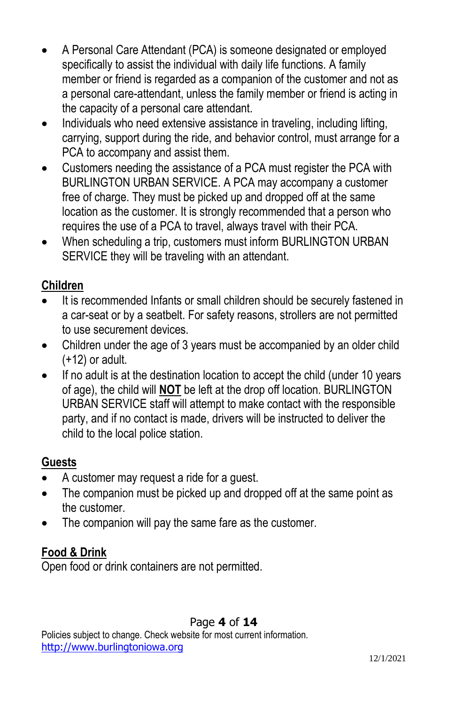- A Personal Care Attendant (PCA) is someone designated or employed specifically to assist the individual with daily life functions. A family member or friend is regarded as a companion of the customer and not as a personal care-attendant, unless the family member or friend is acting in the capacity of a personal care attendant.
- Individuals who need extensive assistance in traveling, including lifting, carrying, support during the ride, and behavior control, must arrange for a PCA to accompany and assist them.
- Customers needing the assistance of a PCA must register the PCA with BURLINGTON URBAN SERVICE. A PCA may accompany a customer free of charge. They must be picked up and dropped off at the same location as the customer. It is strongly recommended that a person who requires the use of a PCA to travel, always travel with their PCA.
- When scheduling a trip, customers must inform BURLINGTON URBAN SERVICE they will be traveling with an attendant.

#### **Children**

- It is recommended Infants or small children should be securely fastened in a car-seat or by a seatbelt. For safety reasons, strollers are not permitted to use securement devices.
- Children under the age of 3 years must be accompanied by an older child (+12) or adult.
- If no adult is at the destination location to accept the child (under 10 years of age), the child will **NOT** be left at the drop off location. BURLINGTON URBAN SERVICE staff will attempt to make contact with the responsible party, and if no contact is made, drivers will be instructed to deliver the child to the local police station.

## **Guests**

- A customer may request a ride for a guest.
- The companion must be picked up and dropped off at the same point as the customer.
- The companion will pay the same fare as the customer.

## **Food & Drink**

Open food or drink containers are not permitted.

## Page **4** of **14**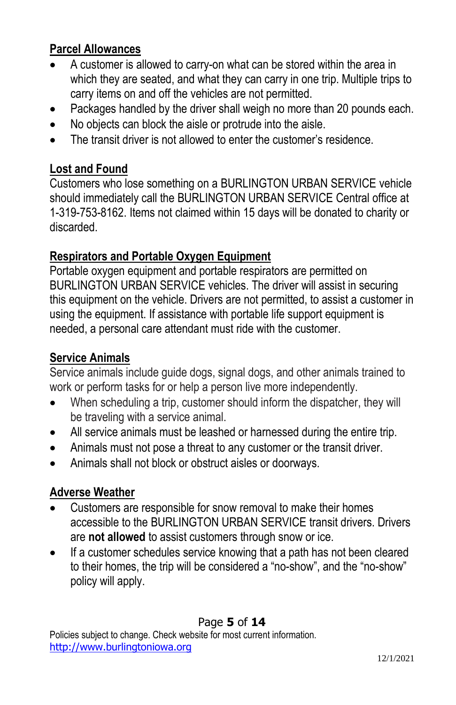#### **Parcel Allowances**

- A customer is allowed to carry-on what can be stored within the area in which they are seated, and what they can carry in one trip. Multiple trips to carry items on and off the vehicles are not permitted.
- Packages handled by the driver shall weigh no more than 20 pounds each.
- No objects can block the aisle or protrude into the aisle.
- The transit driver is not allowed to enter the customer's residence.

### **Lost and Found**

Customers who lose something on a BURLINGTON URBAN SERVICE vehicle should immediately call the BURLINGTON URBAN SERVICE Central office at 1-319-753-8162. Items not claimed within 15 days will be donated to charity or discarded.

#### **Respirators and Portable Oxygen Equipment**

Portable oxygen equipment and portable respirators are permitted on BURLINGTON URBAN SERVICE vehicles. The driver will assist in securing this equipment on the vehicle. Drivers are not permitted, to assist a customer in using the equipment. If assistance with portable life support equipment is needed, a personal care attendant must ride with the customer.

## **Service Animals**

Service animals include guide dogs, signal dogs, and other animals trained to work or perform tasks for or help a person live more independently.

- When scheduling a trip, customer should inform the dispatcher, they will be traveling with a service animal.
- All service animals must be leashed or harnessed during the entire trip.
- Animals must not pose a threat to any customer or the transit driver.
- Animals shall not block or obstruct aisles or doorways.

## **Adverse Weather**

- Customers are responsible for snow removal to make their homes accessible to the BURLINGTON URBAN SERVICE transit drivers. Drivers are **not allowed** to assist customers through snow or ice.
- If a customer schedules service knowing that a path has not been cleared to their homes, the trip will be considered a "no-show", and the "no-show" policy will apply.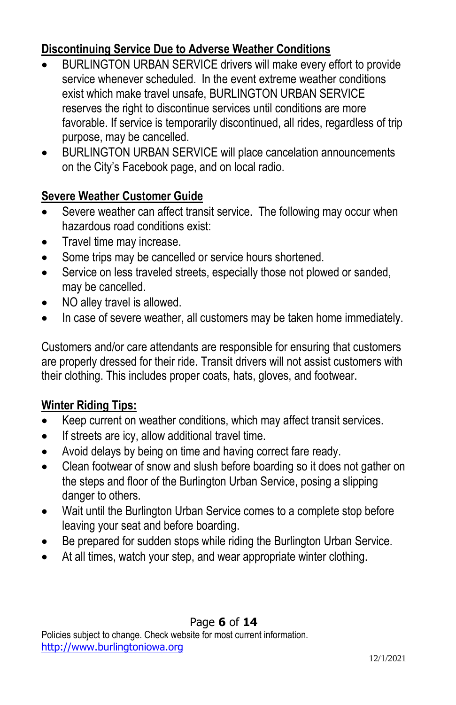## **Discontinuing Service Due to Adverse Weather Conditions**

- BURLINGTON URBAN SERVICE drivers will make every effort to provide service whenever scheduled. In the event extreme weather conditions exist which make travel unsafe, BURLINGTON URBAN SERVICE reserves the right to discontinue services until conditions are more favorable. If service is temporarily discontinued, all rides, regardless of trip purpose, may be cancelled.
- BURLINGTON URBAN SERVICE will place cancelation announcements on the City's Facebook page, and on local radio.

#### **Severe Weather Customer Guide**

- Severe weather can affect transit service. The following may occur when hazardous road conditions exist:
- Travel time may increase.
- Some trips may be cancelled or service hours shortened.
- Service on less traveled streets, especially those not plowed or sanded, may be cancelled.
- NO alley travel is allowed.
- In case of severe weather, all customers may be taken home immediately.

Customers and/or care attendants are responsible for ensuring that customers are properly dressed for their ride. Transit drivers will not assist customers with their clothing. This includes proper coats, hats, gloves, and footwear.

## **Winter Riding Tips:**

- Keep current on weather conditions, which may affect transit services.
- If streets are icy, allow additional travel time.
- Avoid delays by being on time and having correct fare ready.
- Clean footwear of snow and slush before boarding so it does not gather on the steps and floor of the Burlington Urban Service, posing a slipping danger to others.
- Wait until the Burlington Urban Service comes to a complete stop before leaving your seat and before boarding.
- Be prepared for sudden stops while riding the Burlington Urban Service.
- At all times, watch your step, and wear appropriate winter clothing.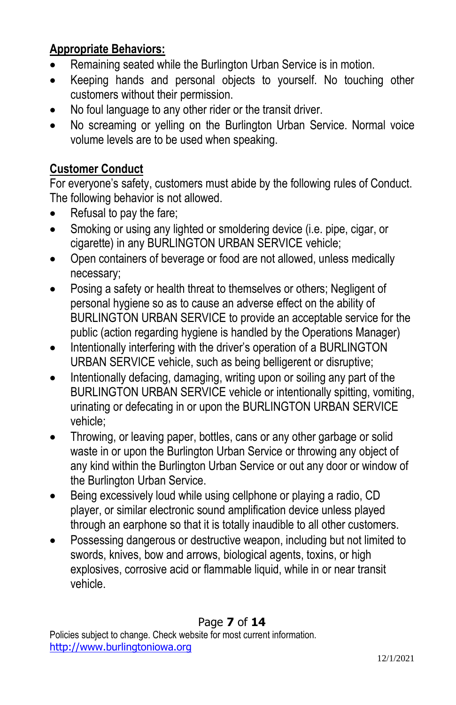## **Appropriate Behaviors:**

- Remaining seated while the Burlington Urban Service is in motion.
- Keeping hands and personal objects to yourself. No touching other customers without their permission.
- No foul language to any other rider or the transit driver.
- No screaming or yelling on the Burlington Urban Service. Normal voice volume levels are to be used when speaking.

#### **Customer Conduct**

For everyone's safety, customers must abide by the following rules of Conduct. The following behavior is not allowed.

- Refusal to pay the fare:
- Smoking or using any lighted or smoldering device (i.e. pipe, cigar, or cigarette) in any BURLINGTON URBAN SERVICE vehicle;
- Open containers of beverage or food are not allowed, unless medically necessary;
- Posing a safety or health threat to themselves or others; Negligent of personal hygiene so as to cause an adverse effect on the ability of BURLINGTON URBAN SERVICE to provide an acceptable service for the public (action regarding hygiene is handled by the Operations Manager)
- Intentionally interfering with the driver's operation of a BURLINGTON URBAN SERVICE vehicle, such as being belligerent or disruptive;
- Intentionally defacing, damaging, writing upon or soiling any part of the BURLINGTON URBAN SERVICE vehicle or intentionally spitting, vomiting, urinating or defecating in or upon the BURLINGTON URBAN SERVICE vehicle;
- Throwing, or leaving paper, bottles, cans or any other garbage or solid waste in or upon the Burlington Urban Service or throwing any object of any kind within the Burlington Urban Service or out any door or window of the Burlington Urban Service.
- Being excessively loud while using cellphone or playing a radio, CD player, or similar electronic sound amplification device unless played through an earphone so that it is totally inaudible to all other customers.
- Possessing dangerous or destructive weapon, including but not limited to swords, knives, bow and arrows, biological agents, toxins, or high explosives, corrosive acid or flammable liquid, while in or near transit vehicle.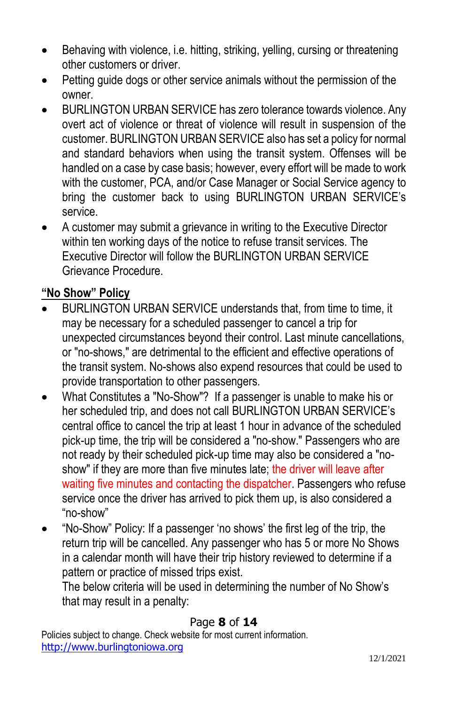- Behaving with violence, i.e. hitting, striking, yelling, cursing or threatening other customers or driver.
- Petting guide dogs or other service animals without the permission of the owner.
- BURLINGTON URBAN SERVICE has zero tolerance towards violence. Any overt act of violence or threat of violence will result in suspension of the customer. BURLINGTON URBAN SERVICE also has set a policy for normal and standard behaviors when using the transit system. Offenses will be handled on a case by case basis; however, every effort will be made to work with the customer, PCA, and/or Case Manager or Social Service agency to bring the customer back to using BURLINGTON URBAN SERVICE's service.
- A customer may submit a grievance in writing to the Executive Director within ten working days of the notice to refuse transit services. The Executive Director will follow the BURLINGTON URBAN SERVICE Grievance Procedure.

# **"No Show" Policy**

- BURLINGTON URBAN SERVICE understands that, from time to time, it may be necessary for a scheduled passenger to cancel a trip for unexpected circumstances beyond their control. Last minute cancellations, or "no-shows," are detrimental to the efficient and effective operations of the transit system. No-shows also expend resources that could be used to provide transportation to other passengers.
- What Constitutes a "No-Show"? If a passenger is unable to make his or her scheduled trip, and does not call BURLINGTON URBAN SERVICE's central office to cancel the trip at least 1 hour in advance of the scheduled pick-up time, the trip will be considered a "no-show." Passengers who are not ready by their scheduled pick-up time may also be considered a "noshow" if they are more than five minutes late; the driver will leave after waiting five minutes and contacting the dispatcher. Passengers who refuse service once the driver has arrived to pick them up, is also considered a "no-show"
- "No-Show" Policy: If a passenger 'no shows' the first leg of the trip, the return trip will be cancelled. Any passenger who has 5 or more No Shows in a calendar month will have their trip history reviewed to determine if a pattern or practice of missed trips exist.

The below criteria will be used in determining the number of No Show's that may result in a penalty:

#### Page **8** of **14**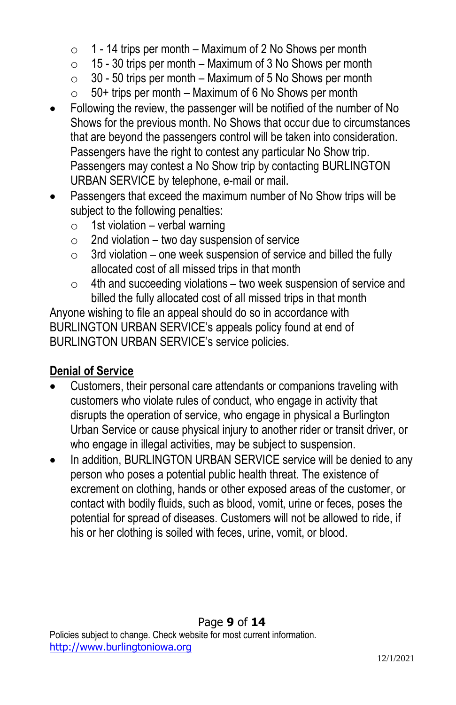- $\circ$  1 14 trips per month Maximum of 2 No Shows per month
- $\circ$  15 30 trips per month Maximum of 3 No Shows per month
- $\circ$  30 50 trips per month Maximum of 5 No Shows per month
- $\circ$  50+ trips per month Maximum of 6 No Shows per month
- Following the review, the passenger will be notified of the number of No Shows for the previous month. No Shows that occur due to circumstances that are beyond the passengers control will be taken into consideration. Passengers have the right to contest any particular No Show trip. Passengers may contest a No Show trip by contacting BURLINGTON URBAN SERVICE by telephone, e-mail or mail.
- Passengers that exceed the maximum number of No Show trips will be subject to the following penalties:
	- $\circ$  1st violation verbal warning
	- $\circ$  2nd violation two day suspension of service
	- $\circ$  3rd violation one week suspension of service and billed the fully allocated cost of all missed trips in that month
	- $\circ$  4th and succeeding violations two week suspension of service and billed the fully allocated cost of all missed trips in that month

Anyone wishing to file an appeal should do so in accordance with BURLINGTON URBAN SERVICE's appeals policy found at end of BURLINGTON URBAN SERVICE's service policies.

# **Denial of Service**

- Customers, their personal care attendants or companions traveling with customers who violate rules of conduct, who engage in activity that disrupts the operation of service, who engage in physical a Burlington Urban Service or cause physical injury to another rider or transit driver, or who engage in illegal activities, may be subject to suspension.
- In addition, BURLINGTON URBAN SERVICE service will be denied to any person who poses a potential public health threat. The existence of excrement on clothing, hands or other exposed areas of the customer, or contact with bodily fluids, such as blood, vomit, urine or feces, poses the potential for spread of diseases. Customers will not be allowed to ride, if his or her clothing is soiled with feces, urine, vomit, or blood.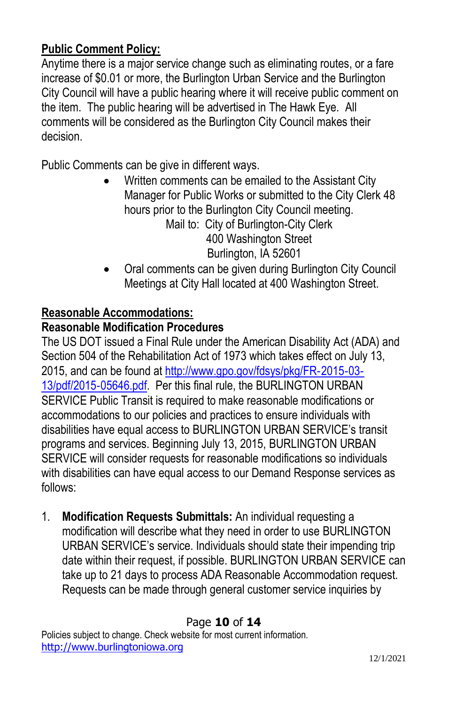#### **Public Comment Policy:**

Anytime there is a major service change such as eliminating routes, or a fare increase of \$0.01 or more, the Burlington Urban Service and the Burlington City Council will have a public hearing where it will receive public comment on the item. The public hearing will be advertised in The Hawk Eye. All comments will be considered as the Burlington City Council makes their decision.

Public Comments can be give in different ways.

- Written comments can be emailed to the Assistant City Manager for Public Works or submitted to the City Clerk 48 hours prior to the Burlington City Council meeting. Mail to: City of Burlington-City Clerk 400 Washington Street Burlington, IA 52601
- Oral comments can be given during Burlington City Council Meetings at City Hall located at 400 Washington Street.

#### **Reasonable Accommodations:**

#### **Reasonable Modification Procedures**

The US DOT issued a Final Rule under the American Disability Act (ADA) and Section 504 of the Rehabilitation Act of 1973 which takes effect on July 13, 2015, and can be found a[t http://www.gpo.gov/fdsys/pkg/FR](http://www.gpo.gov/fdsys/pkg/FR‐2015‐03‐13/pdf/2015‐05646.pdf)‐2015‐03‐ [13/pdf/2015](http://www.gpo.gov/fdsys/pkg/FR‐2015‐03‐13/pdf/2015‐05646.pdf)‐05646.pdf. Per this final rule, the BURLINGTON URBAN SERVICE Public Transit is required to make reasonable modifications or accommodations to our policies and practices to ensure individuals with disabilities have equal access to BURLINGTON URBAN SERVICE's transit programs and services. Beginning July 13, 2015, BURLINGTON URBAN SERVICE will consider requests for reasonable modifications so individuals with disabilities can have equal access to our Demand Response services as follows:

1. **Modification Requests Submittals:** An individual requesting a modification will describe what they need in order to use BURLINGTON URBAN SERVICE's service. Individuals should state their impending trip date within their request, if possible. BURLINGTON URBAN SERVICE can take up to 21 days to process ADA Reasonable Accommodation request. Requests can be made through general customer service inquiries by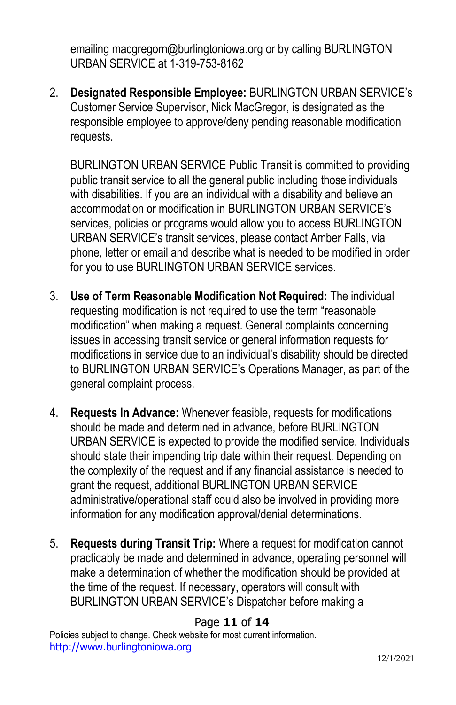emailing macgregorn@burlingtoniowa.org or by calling BURLINGTON URBAN SERVICE at 1-319-753-8162

2. **Designated Responsible Employee:** BURLINGTON URBAN SERVICE's Customer Service Supervisor, Nick MacGregor, is designated as the responsible employee to approve/deny pending reasonable modification requests.

BURLINGTON URBAN SERVICE Public Transit is committed to providing public transit service to all the general public including those individuals with disabilities. If you are an individual with a disability and believe an accommodation or modification in BURLINGTON URBAN SERVICE's services, policies or programs would allow you to access BURLINGTON URBAN SERVICE's transit services, please contact Amber Falls, via phone, letter or email and describe what is needed to be modified in order for you to use BURLINGTON URBAN SERVICE services.

- 3. **Use of Term Reasonable Modification Not Required:** The individual requesting modification is not required to use the term "reasonable modification" when making a request. General complaints concerning issues in accessing transit service or general information requests for modifications in service due to an individual's disability should be directed to BURLINGTON URBAN SERVICE's Operations Manager, as part of the general complaint process.
- 4. **Requests In Advance:** Whenever feasible, requests for modifications should be made and determined in advance, before BURLINGTON URBAN SERVICE is expected to provide the modified service. Individuals should state their impending trip date within their request. Depending on the complexity of the request and if any financial assistance is needed to grant the request, additional BURLINGTON URBAN SERVICE administrative/operational staff could also be involved in providing more information for any modification approval/denial determinations.
- 5. **Requests during Transit Trip:** Where a request for modification cannot practicably be made and determined in advance, operating personnel will make a determination of whether the modification should be provided at the time of the request. If necessary, operators will consult with BURLINGTON URBAN SERVICE's Dispatcher before making a

#### Page **11** of **14**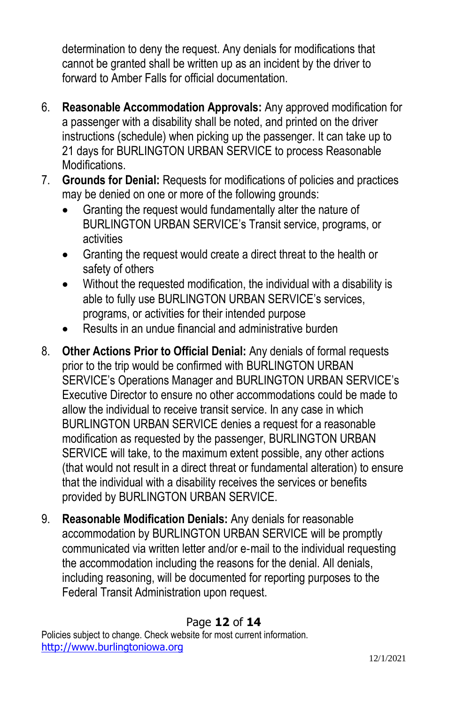determination to deny the request. Any denials for modifications that cannot be granted shall be written up as an incident by the driver to forward to Amber Falls for official documentation.

- 6. **Reasonable Accommodation Approvals:** Any approved modification for a passenger with a disability shall be noted, and printed on the driver instructions (schedule) when picking up the passenger. It can take up to 21 days for BURLINGTON URBAN SERVICE to process Reasonable Modifications.
- 7. **Grounds for Denial:** Requests for modifications of policies and practices may be denied on one or more of the following grounds:
	- Granting the request would fundamentally alter the nature of BURLINGTON URBAN SERVICE's Transit service, programs, or activities
	- Granting the request would create a direct threat to the health or safety of others
	- Without the requested modification, the individual with a disability is able to fully use BURLINGTON URBAN SERVICE's services, programs, or activities for their intended purpose
	- Results in an undue financial and administrative burden
- 8. **Other Actions Prior to Official Denial:** Any denials of formal requests prior to the trip would be confirmed with BURLINGTON URBAN SERVICE's Operations Manager and BURLINGTON URBAN SERVICE's Executive Director to ensure no other accommodations could be made to allow the individual to receive transit service. In any case in which BURLINGTON URBAN SERVICE denies a request for a reasonable modification as requested by the passenger, BURLINGTON URBAN SERVICE will take, to the maximum extent possible, any other actions (that would not result in a direct threat or fundamental alteration) to ensure that the individual with a disability receives the services or benefits provided by BURLINGTON URBAN SERVICE.
- 9. **Reasonable Modification Denials:** Any denials for reasonable accommodation by BURLINGTON URBAN SERVICE will be promptly communicated via written letter and/or e‐mail to the individual requesting the accommodation including the reasons for the denial. All denials, including reasoning, will be documented for reporting purposes to the Federal Transit Administration upon request.

## Page **12** of **14**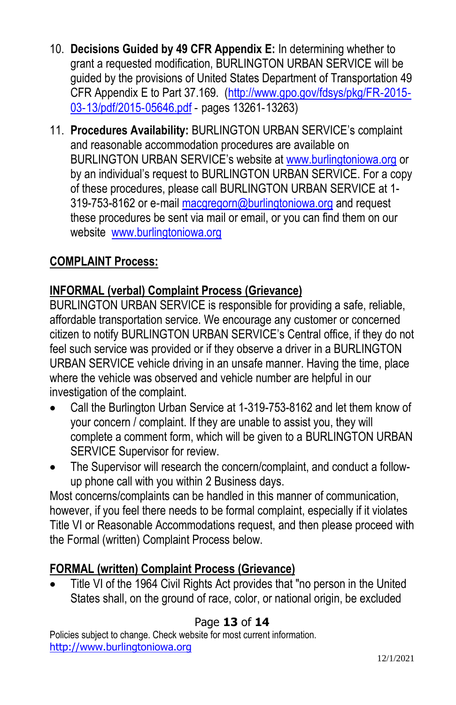- 10. **Decisions Guided by 49 CFR Appendix E:** In determining whether to grant a requested modification, BURLINGTON URBAN SERVICE will be guided by the provisions of United States Department of Transportation 49 CFR Appendix E to Part 37.169. [\(http://www.gpo.gov/fdsys/pkg/FR](http://www.gpo.gov/fdsys/pkg/FR‐2015‐03‐13/pdf/2015‐05646.pdf)‐2015‐ 03‐[13/pdf/2015](http://www.gpo.gov/fdsys/pkg/FR‐2015‐03‐13/pdf/2015‐05646.pdf)‐05646.pdf ‐ pages 13261‐13263)
- 11. **Procedures Availability:** BURLINGTON URBAN SERVICE's complaint and reasonable accommodation procedures are available on BURLINGTON URBAN SERVICE's website at [www.burlingtoniowa.org](http://www.burlingtoniowa.org/) or by an individual's request to BURLINGTON URBAN SERVICE. For a copy of these procedures, please call BURLINGTON URBAN SERVICE at 1 319-753-8162 or e-mail [macgregorn@burlingtoniowa.org](mailto:macgregorn@burlingtoniowa.org) and request these procedures be sent via mail or email, or you can find them on our website [www.burlingtoniowa.org](http://www.burlingtoniowa.org/)

# **COMPLAINT Process:**

## **INFORMAL (verbal) Complaint Process (Grievance)**

BURLINGTON URBAN SERVICE is responsible for providing a safe, reliable, affordable transportation service. We encourage any customer or concerned citizen to notify BURLINGTON URBAN SERVICE's Central office, if they do not feel such service was provided or if they observe a driver in a BURLINGTON URBAN SERVICE vehicle driving in an unsafe manner. Having the time, place where the vehicle was observed and vehicle number are helpful in our investigation of the complaint.

- Call the Burlington Urban Service at 1-319-753-8162 and let them know of your concern / complaint. If they are unable to assist you, they will complete a comment form, which will be given to a BURLINGTON URBAN SERVICE Supervisor for review.
- The Supervisor will research the concern/complaint, and conduct a followup phone call with you within 2 Business days.

Most concerns/complaints can be handled in this manner of communication, however, if you feel there needs to be formal complaint, especially if it violates Title VI or Reasonable Accommodations request, and then please proceed with the Formal (written) Complaint Process below.

## **FORMAL (written) Complaint Process (Grievance)**

• Title VI of the 1964 Civil Rights Act provides that "no person in the United States shall, on the ground of race, color, or national origin, be excluded

## Page **13** of **14**